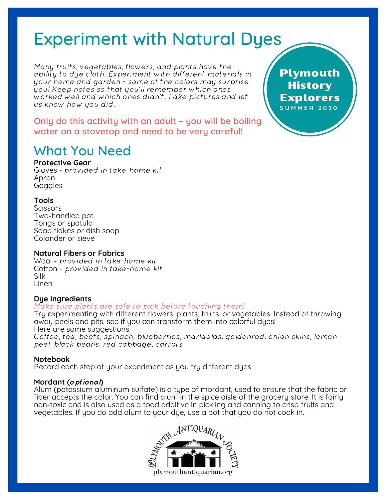# Experiment with Natural Dyes

Many fruits, vegetables, flowers, and plants have the ability to dye cloth. Experiment with different materials in your home and garden - some of the colors may surprise you! Keep notes so that you'll remember which ones worked well and which ones didn't. Take pictures and let us know how you did.

Only do this activity with an adult – you will be boiling water on a stovetop and need to be very careful!

# What You Need

#### **Protective Gear**

Gloves - provided in take-home kit Apron **Goggles** 

#### **Tools**

Scissors Two-handled pot Tongs or spatula Soap flakes or dish soap Colander or sieve

#### **Natural Fibers or Fabrics**

Wool - provided in take-home kit Cotton - provided in take-home kit Silk Linen

#### **Dye Ingredients**

#### Make sure plants are safe to pick before touching them!

Try experimenting with different flowers, plants, fruits, or vegetables. Instead of throwing away peels and pits, see if you can transform them into colorful dyes! Here are some suggestions:

Coffee, tea, beets, spinach, blueberries, marigolds, goldenrod, onion skins, lemon peel, black beans, red cabbage, carrots

#### **Notebook**

Record each step of your experiment as you try different dyes

#### **Mordant (**optional**)**

Alum (potassium aluminum sulfate) is a type of mordant, used to ensure that the fabric or fiber accepts the color. You can find alum in the spice aisle of the grocery store. It is fairly non-toxic and is also used as a food additive in pickling and canning to crisp fruits and vegetables. If you do add alum to your dye, use a pot that you do not cook in.



Plymouth **History** Explorers **S U M M E R 2 0 2 0**